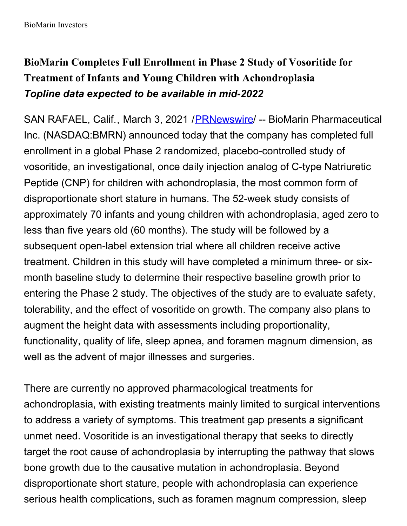# **BioMarin Completes Full Enrollment in Phase 2 Study of Vosoritide for Treatment of Infants and Young Children with Achondroplasia** *Topline data expected to be available in mid-2022*

SAN RAFAEL, Calif., March 3, 2021 / [PRNewswire](http://www.prnewswire.com/) / -- BioMarin Pharmaceutical Inc. (NASDAQ:BMRN) announced today that the company has completed full enrollment in a global Phase 2 randomized, placebo-controlled study of vosoritide, an investigational, once daily injection analog of C-type Natriuretic Peptide (CNP) for children with achondroplasia, the most common form of disproportionate short stature in humans. The 52-week study consists of approximately 70 infants and young children with achondroplasia, aged zero to less than five years old (60 months). The study will be followed by a subsequent open-label extension trial where all children receive active treatment. Children in this study will have completed a minimum three- or sixmonth baseline study to determine their respective baseline growth prior to entering the Phase 2 study. The objectives of the study are to evaluate safety, tolerability, and the effect of vosoritide on growth. The company also plans to augment the height data with assessments including proportionality, functionality, quality of life, sleep apnea, and foramen magnum dimension, as well as the advent of major illnesses and surgeries.

There are currently no approved pharmacological treatments for achondroplasia, with existing treatments mainly limited to surgical interventions to address a variety of symptoms. This treatment gap presents a significant unmet need. Vosoritide is an investigational therapy that seeks to directly target the root cause of achondroplasia by interrupting the pathway that slows bone growth due to the causative mutation in achondroplasia. Beyond disproportionate short stature, people with achondroplasia can experience serious health complications, such as foramen magnum compression, sleep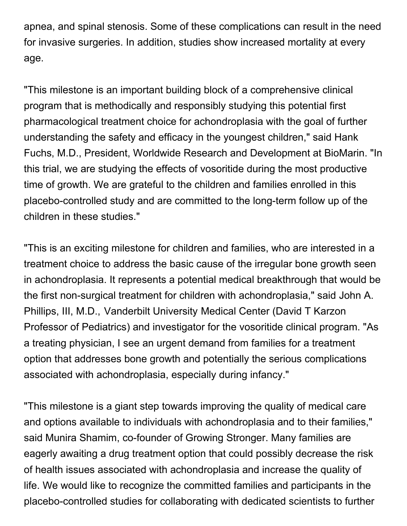apnea, and spinal stenosis. Some of these complications can result in the need for invasive surgeries. In addition, studies show increased mortality at every age.

"This milestone is an important building block of a comprehensive clinical program that is methodically and responsibly studying this potential first pharmacological treatment choice for achondroplasia with the goal of further understanding the safety and efficacy in the youngest children," said Hank Fuchs, M.D., President, Worldwide Research and Development at BioMarin. "In this trial, we are studying the effects of vosoritide during the most productive time of growth. We are grateful to the children and families enrolled in this placebo-controlled study and are committed to the long-term follow up of the children in these studies."

"This is an exciting milestone for children and families, who are interested in a treatment choice to address the basic cause of the irregular bone growth seen in achondroplasia. It represents a potential medical breakthrough that would be the first non-surgical treatment for children with achondroplasia," said John A. Phillips, III, M.D., Vanderbilt University Medical Center (David T Karzon Professor of Pediatrics) and investigator for the vosoritide clinical program. "As a treating physician, I see an urgent demand from families for a treatment option that addresses bone growth and potentially the serious complications associated with achondroplasia, especially during infancy."

"This milestone is a giant step towards improving the quality of medical care and options available to individuals with achondroplasia and to their families," said Munira Shamim, co-founder of Growing Stronger. Many families are eagerly awaiting a drug treatment option that could possibly decrease the risk of health issues associated with achondroplasia and increase the quality of life. We would like to recognize the committed families and participants in the placebo-controlled studies for collaborating with dedicated scientists to further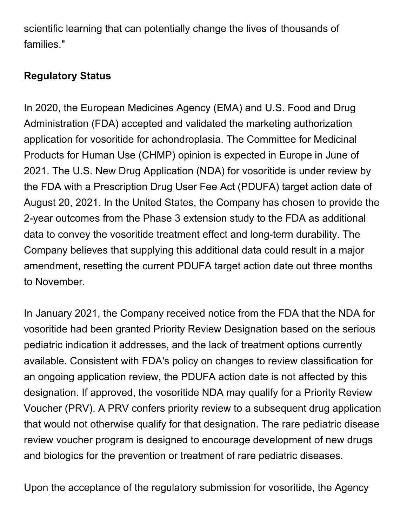scientific learning that can potentially change the lives of thousands of families."

### **Regulatory Status**

In 2020, the European Medicines Agency (EMA) and U.S. Food and Drug Administration (FDA) accepted and validated the marketing authorization application for vosoritide for achondroplasia. The Committee for Medicinal Products for Human Use (CHMP) opinion is expected in Europe in June of 2021. The U.S. New Drug Application (NDA) for vosoritide is under review by the FDA with a Prescription Drug User Fee Act (PDUFA) target action date of August 20, 2021. In the United States, the Company has chosen to provide the 2-year outcomes from the Phase 3 extension study to the FDA as additional data to convey the vosoritide treatment effect and long-term durability. The Company believes that supplying this additional data could result in a major amendment, resetting the current PDUFA target action date out three months to November.

In January 2021, the Company received notice from the FDA that the NDA for vosoritide had been granted Priority Review Designation based on the serious pediatric indication it addresses, and the lack of treatment options currently available. Consistent with FDA's policy on changes to review classification for an ongoing application review, the PDUFA action date is not affected by this designation. If approved, the vosoritide NDA may qualify for a Priority Review Voucher (PRV). A PRV confers priority review to a subsequent drug application that would not otherwise qualify for that designation. The rare pediatric disease review voucher program is designed to encourage development of new drugs and biologics for the prevention or treatment of rare pediatric diseases.

Upon the acceptance of the regulatory submission for vosoritide, the Agency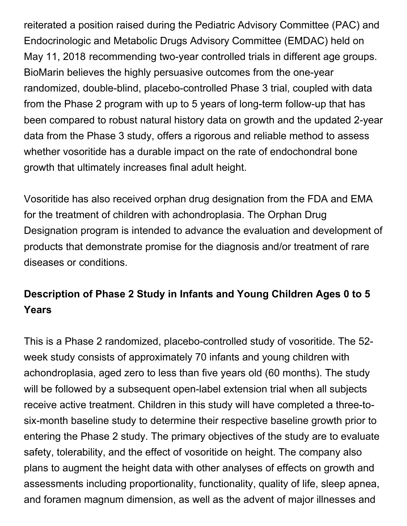reiterated a position raised during the Pediatric Advisory Committee (PAC) and Endocrinologic and Metabolic Drugs Advisory Committee (EMDAC) held on May 11, 2018 recommending two-year controlled trials in different age groups. BioMarin believes the highly persuasive outcomes from the one-year randomized, double-blind, placebo-controlled Phase 3 trial, coupled with data from the Phase 2 program with up to 5 years of long-term follow-up that has been compared to robust natural history data on growth and the updated 2-year data from the Phase 3 study, offers a rigorous and reliable method to assess whether vosoritide has a durable impact on the rate of endochondral bone growth that ultimately increases final adult height.

Vosoritide has also received orphan drug designation from the FDA and EMA for the treatment of children with achondroplasia. The Orphan Drug Designation program is intended to advance the evaluation and development of products that demonstrate promise for the diagnosis and/or treatment of rare diseases or conditions.

## **Description of Phase 2 Study in Infants and Young Children Ages 0 to 5 Years**

This is a Phase 2 randomized, placebo-controlled study of vosoritide. The 52 week study consists of approximately 70 infants and young children with achondroplasia, aged zero to less than five years old (60 months). The study will be followed by a subsequent open-label extension trial when all subjects receive active treatment. Children in this study will have completed a three-tosix-month baseline study to determine their respective baseline growth prior to entering the Phase 2 study. The primary objectives of the study are to evaluate safety, tolerability, and the effect of vosoritide on height. The company also plans to augment the height data with other analyses of effects on growth and assessments including proportionality, functionality, quality of life, sleep apnea, and foramen magnum dimension, as well as the advent of major illnesses and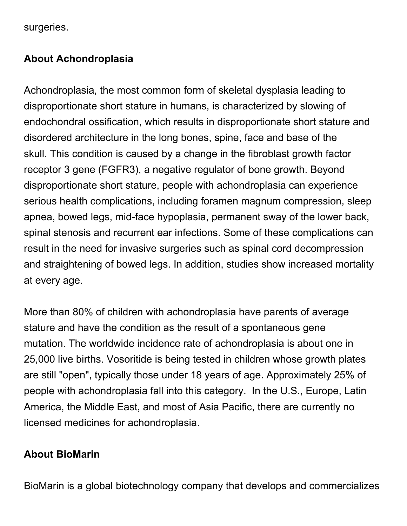surgeries.

#### **About Achondroplasia**

Achondroplasia, the most common form of skeletal dysplasia leading to disproportionate short stature in humans, is characterized by slowing of endochondral ossification, which results in disproportionate short stature and disordered architecture in the long bones, spine, face and base of the skull. This condition is caused by a change in the fibroblast growth factor receptor 3 gene (FGFR3), a negative regulator of bone growth. Beyond disproportionate short stature, people with achondroplasia can experience serious health complications, including foramen magnum compression, sleep apnea, bowed legs, mid-face hypoplasia, permanent sway of the lower back, spinal stenosis and recurrent ear infections. Some of these complications can result in the need for invasive surgeries such as spinal cord decompression and straightening of bowed legs. In addition, studies show increased mortality at every age.

More than 80% of children with achondroplasia have parents of average stature and have the condition as the result of a spontaneous gene mutation. The worldwide incidence rate of achondroplasia is about one in 25,000 live births. Vosoritide is being tested in children whose growth plates are still "open", typically those under 18 years of age. Approximately 25% of people with achondroplasia fall into this category. In the U.S., Europe, Latin America, the Middle East, and most of Asia Pacific, there are currently no licensed medicines for achondroplasia.

#### **About BioMarin**

BioMarin is a global biotechnology company that develops and commercializes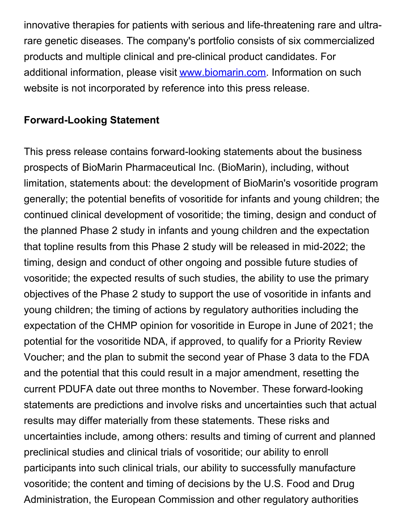innovative therapies for patients with serious and life-threatening rare and ultrarare genetic diseases. The company's portfolio consists of six commercialized products and multiple clinical and pre-clinical product candidates. For additional information, please visit [www.biomarin.com](https://c212.net/c/link/?t=0&l=en&o=3085041-1&h=487069806&u=http%3A%2F%2Fwww.biomarin.com%2F&a=www.biomarin.com). Information on such website is not incorporated by reference into this press release.

#### **Forward-Looking Statement**

This press release contains forward-looking statements about the business prospects of BioMarin Pharmaceutical Inc. (BioMarin), including, without limitation, statements about: the development of BioMarin's vosoritide program generally; the potential benefits of vosoritide for infants and young children; the continued clinical development of vosoritide; the timing, design and conduct of the planned Phase 2 study in infants and young children and the expectation that topline results from this Phase 2 study will be released in mid-2022; the timing, design and conduct of other ongoing and possible future studies of vosoritide; the expected results of such studies, the ability to use the primary objectives of the Phase 2 study to support the use of vosoritide in infants and young children; the timing of actions by regulatory authorities including the expectation of the CHMP opinion for vosoritide in Europe in June of 2021; the potential for the vosoritide NDA, if approved, to qualify for a Priority Review Voucher; and the plan to submit the second year of Phase 3 data to the FDA and the potential that this could result in a major amendment, resetting the current PDUFA date out three months to November. These forward-looking statements are predictions and involve risks and uncertainties such that actual results may differ materially from these statements. These risks and uncertainties include, among others: results and timing of current and planned preclinical studies and clinical trials of vosoritide; our ability to enroll participants into such clinical trials, our ability to successfully manufacture vosoritide; the content and timing of decisions by the U.S. Food and Drug Administration, the European Commission and other regulatory authorities